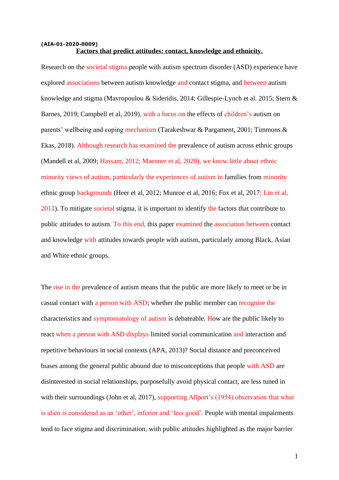## **(AIA-01-2020-0009) Factors that predict attitudes: contact, knowledge and ethnicity.**

Research on the societal stigma people with autism spectrum disorder (ASD) experience have explored associations between autism knowledge and contact stigma, and between autism knowledge and stigma (Mavropoulou & Sideridis, 2014; Gillespie-Lynch et al. 2015; Stern & Barnes, 2019; Campbell et al, 2019), with a focus on the effects of children's autism on parents' wellbeing and coping mechanism (Tarakeshwar & Pargament, 2001; Timmons & Ekas, 2018). Although research has examined the prevalence of autism across ethnic groups (Mandell et al, 2009; Hassam, 2012; Maenner et al, 2020), we know little about ethnic minority views of autism, particularly the experiences of autism in families from minority ethnic group backgrounds (Heer et al, 2012; Munroe et al, 2016; Fox et al, 2017; Lin et al, 2011). To mitigate societal stigma, it is important to identify the factors that contribute to public attitudes to autism. To this end, this paper examined the association between contact and knowledge with attitudes towards people with autism, particularly among Black, Asian and White ethnic groups.

The rise in the prevalence of autism means that the public are more likely to meet or be in casual contact with a person with ASD; whether the public member can recognise the characteristics and symptomatology of autism is debateable. How are the public likely to react when a person with ASD displays limited social communication and interaction and repetitive behaviours in social contexts (APA, 2013)? Social distance and preconceived biases among the general public abound due to misconceptions that people with ASD are disinterested in social relationships, purposefully avoid physical contact, are less tuned in with their surroundings (John et al, 2017), supporting Allport's (1954) observation that what is alien is considered as an 'other', inferior and 'less good'. People with mental impairments tend to face stigma and discrimination, with public attitudes highlighted as the major barrier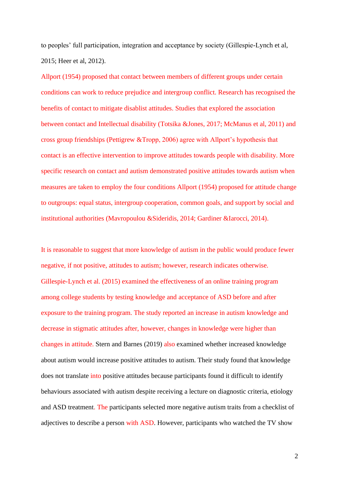to peoples' full participation, integration and acceptance by society (Gillespie-Lynch et al, 2015; Heer et al, 2012).

Allport (1954) proposed that contact between members of different groups under certain conditions can work to reduce prejudice and intergroup conflict. Research has recognised the benefits of contact to mitigate disablist attitudes. Studies that explored the association between contact and Intellectual disability (Totsika &Jones, 2017; McManus et al, 2011) and cross group friendships (Pettigrew &Tropp, 2006) agree with Allport's hypothesis that contact is an effective intervention to improve attitudes towards people with disability. More specific research on contact and autism demonstrated positive attitudes towards autism when measures are taken to employ the four conditions Allport (1954) proposed for attitude change to outgroups: equal status, intergroup cooperation, common goals, and support by social and institutional authorities (Mavropoulou &Sideridis, 2014; Gardiner &Iarocci, 2014).

It is reasonable to suggest that more knowledge of autism in the public would produce fewer negative, if not positive, attitudes to autism; however, research indicates otherwise. Gillespie-Lynch et al. (2015) examined the effectiveness of an online training program among college students by testing knowledge and acceptance of ASD before and after exposure to the training program. The study reported an increase in autism knowledge and decrease in stigmatic attitudes after, however, changes in knowledge were higher than changes in attitude. Stern and Barnes (2019) also examined whether increased knowledge about autism would increase positive attitudes to autism. Their study found that knowledge does not translate into positive attitudes because participants found it difficult to identify behaviours associated with autism despite receiving a lecture on diagnostic criteria, etiology and ASD treatment. The participants selected more negative autism traits from a checklist of adjectives to describe a person with ASD. However, participants who watched the TV show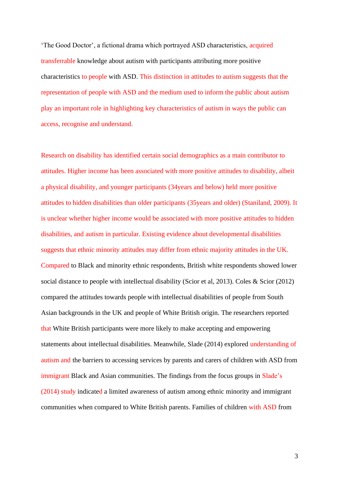'The Good Doctor', a fictional drama which portrayed ASD characteristics, acquired transferrable knowledge about autism with participants attributing more positive characteristics to people with ASD. This distinction in attitudes to autism suggests that the representation of people with ASD and the medium used to inform the public about autism play an important role in highlighting key characteristics of autism in ways the public can access, recognise and understand.

Research on disability has identified certain social demographics as a main contributor to attitudes. Higher income has been associated with more positive attitudes to disability, albeit a physical disability, and younger participants (34years and below) held more positive attitudes to hidden disabilities than older participants (35years and older) (Staniland, 2009). It is unclear whether higher income would be associated with more positive attitudes to hidden disabilities, and autism in particular. Existing evidence about developmental disabilities suggests that ethnic minority attitudes may differ from ethnic majority attitudes in the UK. Compared to Black and minority ethnic respondents, British white respondents showed lower social distance to people with intellectual disability (Scior et al, 2013). Coles & Scior (2012) compared the attitudes towards people with intellectual disabilities of people from South Asian backgrounds in the UK and people of White British origin. The researchers reported that White British participants were more likely to make accepting and empowering statements about intellectual disabilities. Meanwhile, Slade (2014) explored understanding of autism and the barriers to accessing services by parents and carers of children with ASD from immigrant Black and Asian communities. The findings from the focus groups in Slade's (2014) study indicated a limited awareness of autism among ethnic minority and immigrant communities when compared to White British parents. Families of children with ASD from

3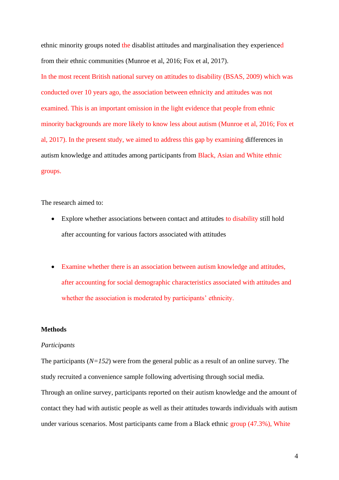ethnic minority groups noted the disablist attitudes and marginalisation they experienced from their ethnic communities (Munroe et al, 2016; Fox et al, 2017).

In the most recent British national survey on attitudes to disability (BSAS, 2009) which was conducted over 10 years ago, the association between ethnicity and attitudes was not examined. This is an important omission in the light evidence that people from ethnic minority backgrounds are more likely to know less about autism (Munroe et al, 2016; Fox et al, 2017). In the present study, we aimed to address this gap by examining differences in autism knowledge and attitudes among participants from Black, Asian and White ethnic groups.

The research aimed to:

- Explore whether associations between contact and attitudes to disability still hold after accounting for various factors associated with attitudes
- Examine whether there is an association between autism knowledge and attitudes, after accounting for social demographic characteristics associated with attitudes and whether the association is moderated by participants' ethnicity.

### **Methods**

#### *Participants*

The participants (*N=152*) were from the general public as a result of an online survey. The study recruited a convenience sample following advertising through social media. Through an online survey, participants reported on their autism knowledge and the amount of contact they had with autistic people as well as their attitudes towards individuals with autism under various scenarios. Most participants came from a Black ethnic group (47.3%), White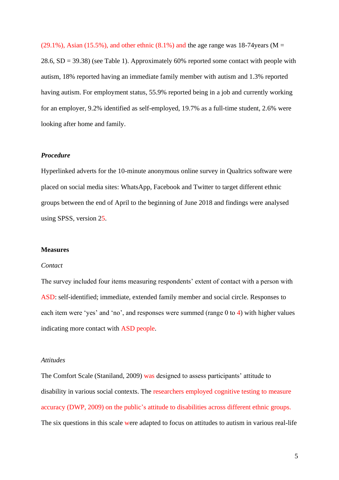$(29.1\%)$ , Asian (15.5%), and other ethnic  $(8.1\%)$  and the age range was 18-74years (M = 28.6, SD = 39.38) (see Table 1). Approximately 60% reported some contact with people with autism, 18% reported having an immediate family member with autism and 1.3% reported having autism. For employment status, 55.9% reported being in a job and currently working for an employer, 9.2% identified as self-employed, 19.7% as a full-time student, 2.6% were looking after home and family.

### *Procedure*

Hyperlinked adverts for the 10-minute anonymous online survey in Qualtrics software were placed on social media sites: WhatsApp, Facebook and Twitter to target different ethnic groups between the end of April to the beginning of June 2018 and findings were analysed using SPSS, version 25.

### **Measures**

### *Contact*

The survey included four items measuring respondents' extent of contact with a person with ASD: self-identified; immediate, extended family member and social circle. Responses to each item were 'yes' and 'no', and responses were summed (range 0 to 4) with higher values indicating more contact with ASD people.

### *Attitudes*

The Comfort Scale (Staniland, 2009) was designed to assess participants' attitude to disability in various social contexts. The researchers employed cognitive testing to measure accuracy (DWP, 2009) on the public's attitude to disabilities across different ethnic groups. The six questions in this scale were adapted to focus on attitudes to autism in various real-life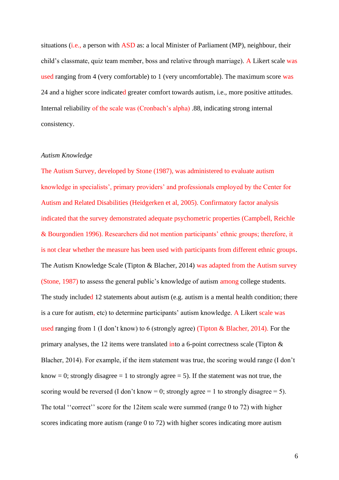situations (i.e., a person with ASD as: a local Minister of Parliament (MP), neighbour, their child's classmate, quiz team member, boss and relative through marriage). A Likert scale was used ranging from 4 (very comfortable) to 1 (very uncomfortable). The maximum score was 24 and a higher score indicated greater comfort towards autism, i.e., more positive attitudes. Internal reliability of the scale was (Cronbach's alpha) .88, indicating strong internal consistency.

## *Autism Knowledge*

The Autism Survey, developed by Stone (1987), was administered to evaluate autism knowledge in specialists', primary providers' and professionals employed by the Center for Autism and Related Disabilities (Heidgerken et al, 2005). Confirmatory factor analysis indicated that the survey demonstrated adequate psychometric properties (Campbell, Reichle & Bourgondien 1996). Researchers did not mention participants' ethnic groups; therefore, it is not clear whether the measure has been used with participants from different ethnic groups. The Autism Knowledge Scale (Tipton & Blacher, 2014) was adapted from the Autism survey (Stone, 1987) to assess the general public's knowledge of autism among college students. The study included 12 statements about autism (e.g. autism is a mental health condition; there is a cure for autism, etc) to determine participants' autism knowledge. A Likert scale was used ranging from 1 (I don't know) to 6 (strongly agree) (Tipton & Blacher, 2014). For the primary analyses, the 12 items were translated into a 6-point correctness scale (Tipton & Blacher, 2014). For example, if the item statement was true, the scoring would range (I don't know = 0; strongly disagree = 1 to strongly agree = 5). If the statement was not true, the scoring would be reversed (I don't know = 0; strongly agree = 1 to strongly disagree = 5). The total "correct" score for the 12item scale were summed (range 0 to 72) with higher scores indicating more autism (range 0 to 72) with higher scores indicating more autism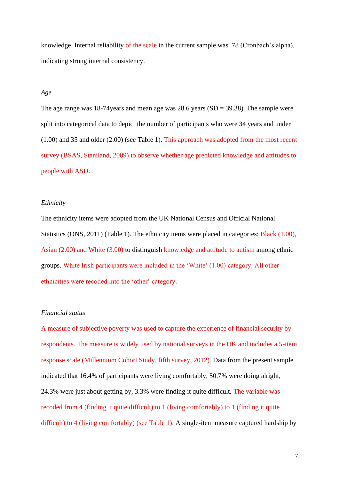knowledge. Internal reliability of the scale in the current sample was .78 (Cronbach's alpha), indicating strong internal consistency.

## *Age*

The age range was 18-74 years and mean age was  $28.6$  years (SD = 39.38). The sample were split into categorical data to depict the number of participants who were 34 years and under (1.00) and 35 and older (2.00) (see Table 1). This approach was adopted from the most recent survey (BSAS, Staniland, 2009) to observe whether age predicted knowledge and attitudes to people with ASD.

### *Ethnicity*

The ethnicity items were adopted from the UK National Census and Official National Statistics (ONS, 2011) (Table 1). The ethnicity items were placed in categories: Black (1.00), Asian (2.00) and White (3.00) to distinguish knowledge and attitude to autism among ethnic groups. White Irish participants were included in the 'White' (1.00) category. All other ethnicities were recoded into the 'other' category.

## *Financial status*

A measure of subjective poverty was used to capture the experience of financial security by respondents. The measure is widely used by national surveys in the UK and includes a 5-item response scale (Millennium Cohort Study, fifth survey, 2012). Data from the present sample indicated that 16.4% of participants were living comfortably, 50.7% were doing alright, 24.3% were just about getting by, 3.3% were finding it quite difficult. The variable was recoded from 4 (finding it quite difficult) to 1 (living comfortably) to 1 (finding it quite difficult) to 4 (living comfortably) (see Table 1). A single-item measure captured hardship by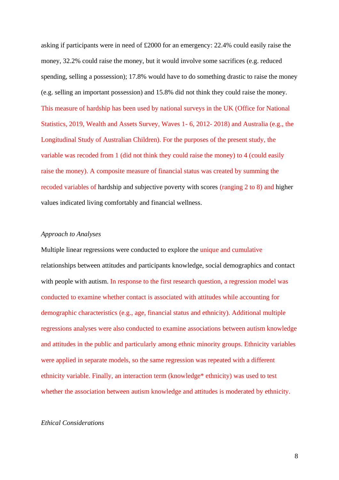asking if participants were in need of £2000 for an emergency: 22.4% could easily raise the money, 32.2% could raise the money, but it would involve some sacrifices (e.g. reduced spending, selling a possession); 17.8% would have to do something drastic to raise the money (e.g. selling an important possession) and 15.8% did not think they could raise the money. This measure of hardship has been used by national surveys in the UK (Office for National Statistics, 2019, Wealth and Assets Survey, Waves 1- 6, 2012- 2018) and Australia (e.g., the Longitudinal Study of Australian Children). For the purposes of the present study, the variable was recoded from 1 (did not think they could raise the money) to 4 (could easily raise the money). A composite measure of financial status was created by summing the recoded variables of hardship and subjective poverty with scores (ranging 2 to 8) and higher values indicated living comfortably and financial wellness.

# *Approach to Analyses*

Multiple linear regressions were conducted to explore the unique and cumulative relationships between attitudes and participants knowledge, social demographics and contact with people with autism. In response to the first research question, a regression model was conducted to examine whether contact is associated with attitudes while accounting for demographic characteristics (e.g., age, financial status and ethnicity). Additional multiple regressions analyses were also conducted to examine associations between autism knowledge and attitudes in the public and particularly among ethnic minority groups. Ethnicity variables were applied in separate models, so the same regression was repeated with a different ethnicity variable. Finally, an interaction term (knowledge\* ethnicity) was used to test whether the association between autism knowledge and attitudes is moderated by ethnicity.

# *Ethical Considerations*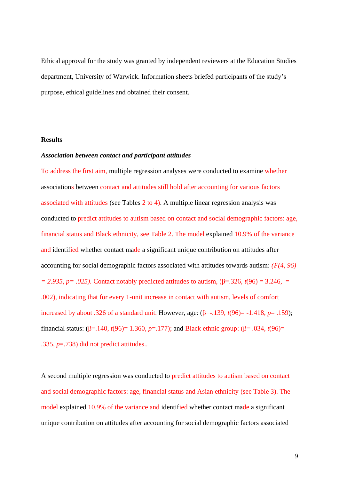Ethical approval for the study was granted by independent reviewers at the Education Studies department, University of Warwick. Information sheets briefed participants of the study's purpose, ethical guidelines and obtained their consent.

### **Results**

### *Association between contact and participant attitudes*

To address the first aim, multiple regression analyses were conducted to examine whether associations between contact and attitudes still hold after accounting for various factors associated with attitudes (see Tables 2 to 4). A multiple linear regression analysis was conducted to predict attitudes to autism based on contact and social demographic factors: age, financial status and Black ethnicity, see Table 2. The model explained 10.9% of the variance and identified whether contact made a significant unique contribution on attitudes after accounting for social demographic factors associated with attitudes towards autism: *(F(4, 96)*   $= 2.935$ ,  $p = .025$ ). Contact notably predicted attitudes to autism, (β=.326, *t*(96) = 3.246, = .002), indicating that for every 1-unit increase in contact with autism, levels of comfort increased by about .326 of a standard unit. However, age: (β=-.139, *t*(96)= -1.418, *p*= .159); financial status: (β=.140, *t*(96)= 1.360, *p*=.177); and Black ethnic group: (β= .034, *t*(96)= .335, *p*=.738) did not predict attitudes..

A second multiple regression was conducted to predict attitudes to autism based on contact and social demographic factors: age, financial status and Asian ethnicity (see Table 3). The model explained 10.9% of the variance and identified whether contact made a significant unique contribution on attitudes after accounting for social demographic factors associated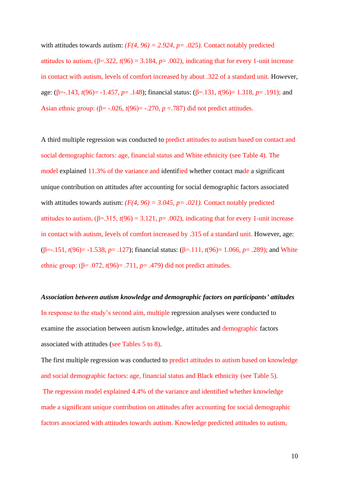with attitudes towards autism:  $(F(4, 96) = 2.924, p = .025)$ . Contact notably predicted attitudes to autism,  $(\beta = 322, t(96) = 3.184, p = .002)$ , indicating that for every 1-unit increase in contact with autism, levels of comfort increased by about .322 of a standard unit. However, age: (β=-.143, *t*(96)= -1.457, *p*= .148); financial status: (β=.131, *t*(96)= 1.318, *p*= .191); and Asian ethnic group:  $(\beta = -0.026, t(96)) = -0.270, p = 0.787$  did not predict attitudes.

A third multiple regression was conducted to predict attitudes to autism based on contact and social demographic factors: age, financial status and White ethnicity (see Table 4). The model explained 11.3% of the variance and identified whether contact made a significant unique contribution on attitudes after accounting for social demographic factors associated with attitudes towards autism:  $(F(4, 96) = 3.045, p = .021)$ . Contact notably predicted attitudes to autism,  $(\beta = .315, t(96) = 3.121, p = .002)$ , indicating that for every 1-unit increase in contact with autism, levels of comfort increased by .315 of a standard unit. However, age: (β=-.151, *t*(96)= -1.538, *p*= .127); financial status: (β=.111, *t*(96)= 1.066, *p*= .289); and White ethnic group:  $(\beta = .072, t(96) = .711, p = .479)$  did not predict attitudes.

*Association between autism knowledge and demographic factors on participants' attitudes* In response to the study's second aim, multiple regression analyses were conducted to examine the association between autism knowledge, attitudes and demographic factors associated with attitudes (see Tables 5 to 8).

The first multiple regression was conducted to predict attitudes to autism based on knowledge and social demographic factors: age, financial status and Black ethnicity (see Table 5).

The regression model explained 4.4% of the variance and identified whether knowledge made a significant unique contribution on attitudes after accounting for social demographic factors associated with attitudes towards autism. Knowledge predicted attitudes to autism,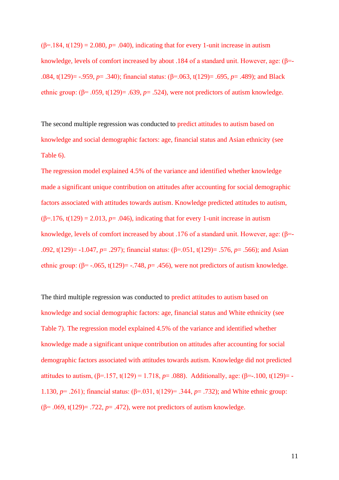( $\beta$ =.184, t(129) = 2.080,  $p$ = .040), indicating that for every 1-unit increase in autism knowledge, levels of comfort increased by about .184 of a standard unit. However, age: (β=- .084, t(129)= -.959, *p*= .340); financial status: (β=.063, t(129)= .695, *p*= .489); and Black ethnic group:  $(\beta = .059, t(129) = .639, p = .524)$ , were not predictors of autism knowledge.

The second multiple regression was conducted to predict attitudes to autism based on knowledge and social demographic factors: age, financial status and Asian ethnicity (see Table 6).

The regression model explained 4.5% of the variance and identified whether knowledge made a significant unique contribution on attitudes after accounting for social demographic factors associated with attitudes towards autism. Knowledge predicted attitudes to autism, ( $\beta$ =.176, t(129) = 2.013, *p*= .046), indicating that for every 1-unit increase in autism knowledge, levels of comfort increased by about .176 of a standard unit. However, age: (β=- .092, t(129)= -1.047, *p*= .297); financial status: (β=.051, t(129)= .576, *p*= .566); and Asian ethnic group:  $(\beta = -0.065, t(129)) = -0.748$ ,  $p = 0.456$ , were not predictors of autism knowledge.

The third multiple regression was conducted to predict attitudes to autism based on knowledge and social demographic factors: age, financial status and White ethnicity (see Table 7). The regression model explained 4.5% of the variance and identified whether knowledge made a significant unique contribution on attitudes after accounting for social demographic factors associated with attitudes towards autism. Knowledge did not predicted attitudes to autism,  $(β=.157, t(129) = 1.718, p=.088)$ . Additionally, age:  $(β=-.100, t(129)=-$ 1.130, *p*= .261); financial status: (β=.031, t(129)= .344, *p*= .732); and White ethnic group: (β= .069, t(129)= .722, *p*= .472), were not predictors of autism knowledge.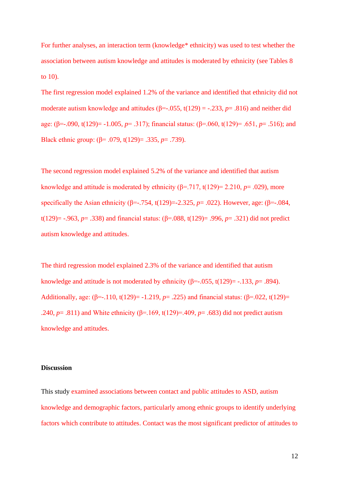For further analyses, an interaction term (knowledge\* ethnicity) was used to test whether the association between autism knowledge and attitudes is moderated by ethnicity (see Tables 8 to 10).

The first regression model explained 1.2% of the variance and identified that ethnicity did not moderate autism knowledge and attitudes ( $\beta$ =-.055, t(129) = -.233,  $p$ = .816) and neither did age: (β=-.090, t(129)= -1.005, *p*= .317); financial status: (β=.060, t(129)= .651, *p*= .516); and Black ethnic group: (β= .079, t(129)= .335, *p*= .739).

The second regression model explained 5.2% of the variance and identified that autism knowledge and attitude is moderated by ethnicity  $(\beta = .717, t(129) = 2.210, p = .029)$ , more specifically the Asian ethnicity ( $\beta$ =-.754, t(129)=-2.325, *p*= .022). However, age: ( $\beta$ =-.084, t(129)= -.963, *p*= .338) and financial status: (β=.088, t(129)= .996, *p*= .321) did not predict autism knowledge and attitudes.

The third regression model explained 2.3% of the variance and identified that autism knowledge and attitude is not moderated by ethnicity  $(\beta = -0.055, t(129)) = -0.133$ ,  $p = 0.894$ . Additionally, age: (β=-.110, t(129)= -1.219, *p*= .225) and financial status: (β=.022, t(129)= .240, *p* = .811) and White ethnicity (β=.169, t(129)=.409, *p* = .683) did not predict autism knowledge and attitudes.

### **Discussion**

This study examined associations between contact and public attitudes to ASD, autism knowledge and demographic factors, particularly among ethnic groups to identify underlying factors which contribute to attitudes. Contact was the most significant predictor of attitudes to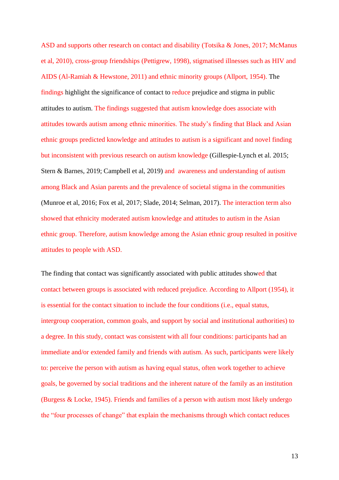ASD and supports other research on contact and disability (Totsika & Jones, 2017; McManus et al, 2010), cross-group friendships (Pettigrew, 1998), stigmatised illnesses such as HIV and AIDS (Al-Ramiah & Hewstone, 2011) and ethnic minority groups (Allport, 1954). The findings highlight the significance of contact to reduce prejudice and stigma in public attitudes to autism. The findings suggested that autism knowledge does associate with attitudes towards autism among ethnic minorities. The study's finding that Black and Asian ethnic groups predicted knowledge and attitudes to autism is a significant and novel finding but inconsistent with previous research on autism knowledge (Gillespie-Lynch et al. 2015; Stern & Barnes, 2019; Campbell et al, 2019) and awareness and understanding of autism among Black and Asian parents and the prevalence of societal stigma in the communities (Munroe et al, 2016; Fox et al, 2017; Slade, 2014; Selman, 2017). The interaction term also showed that ethnicity moderated autism knowledge and attitudes to autism in the Asian ethnic group. Therefore, autism knowledge among the Asian ethnic group resulted in positive attitudes to people with ASD.

The finding that contact was significantly associated with public attitudes showed that contact between groups is associated with reduced prejudice. According to Allport (1954), it is essential for the contact situation to include the four conditions (i.e., equal status, intergroup cooperation, common goals, and support by social and institutional authorities) to a degree. In this study, contact was consistent with all four conditions: participants had an immediate and/or extended family and friends with autism. As such, participants were likely to: perceive the person with autism as having equal status, often work together to achieve goals, be governed by social traditions and the inherent nature of the family as an institution (Burgess & Locke, 1945). Friends and families of a person with autism most likely undergo the "four processes of change" that explain the mechanisms through which contact reduces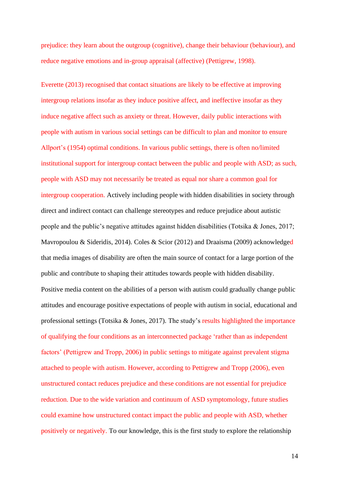prejudice: they learn about the outgroup (cognitive), change their behaviour (behaviour), and reduce negative emotions and in-group appraisal (affective) (Pettigrew, 1998).

Everette (2013) recognised that contact situations are likely to be effective at improving intergroup relations insofar as they induce positive affect, and ineffective insofar as they induce negative affect such as anxiety or threat. However, daily public interactions with people with autism in various social settings can be difficult to plan and monitor to ensure Allport's (1954) optimal conditions. In various public settings, there is often no/limited institutional support for intergroup contact between the public and people with ASD; as such, people with ASD may not necessarily be treated as equal nor share a common goal for intergroup cooperation. Actively including people with hidden disabilities in society through direct and indirect contact can challenge stereotypes and reduce prejudice about autistic people and the public's negative attitudes against hidden disabilities (Totsika & Jones, 2017; Mavropoulou & Sideridis, 2014). Coles & Scior (2012) and Draaisma (2009) acknowledged that media images of disability are often the main source of contact for a large portion of the public and contribute to shaping their attitudes towards people with hidden disability. Positive media content on the abilities of a person with autism could gradually change public attitudes and encourage positive expectations of people with autism in social, educational and professional settings (Totsika & Jones, 2017). The study's results highlighted the importance of qualifying the four conditions as an interconnected package 'rather than as independent factors' (Pettigrew and Tropp, 2006) in public settings to mitigate against prevalent stigma attached to people with autism. However, according to Pettigrew and Tropp (2006), even unstructured contact reduces prejudice and these conditions are not essential for prejudice reduction. Due to the wide variation and continuum of ASD symptomology, future studies could examine how unstructured contact impact the public and people with ASD, whether positively or negatively. To our knowledge, this is the first study to explore the relationship

14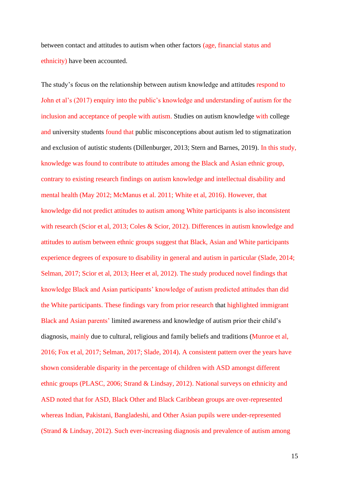between contact and attitudes to autism when other factors (age, financial status and ethnicity) have been accounted.

The study's focus on the relationship between autism knowledge and attitudes respond to John et al's (2017) enquiry into the public's knowledge and understanding of autism for the inclusion and acceptance of people with autism. Studies on autism knowledge with college and university students found that public misconceptions about autism led to stigmatization and exclusion of autistic students (Dillenburger, 2013; Stern and Barnes, 2019). In this study, knowledge was found to contribute to attitudes among the Black and Asian ethnic group, contrary to existing research findings on autism knowledge and intellectual disability and mental health (May 2012; McManus et al. 2011; White et al, 2016). However, that knowledge did not predict attitudes to autism among White participants is also inconsistent with research (Scior et al, 2013; Coles & Scior, 2012). Differences in autism knowledge and attitudes to autism between ethnic groups suggest that Black, Asian and White participants experience degrees of exposure to disability in general and autism in particular (Slade, 2014; Selman, 2017; Scior et al, 2013; Heer et al, 2012). The study produced novel findings that knowledge Black and Asian participants' knowledge of autism predicted attitudes than did the White participants. These findings vary from prior research that highlighted immigrant Black and Asian parents' limited awareness and knowledge of autism prior their child's diagnosis, mainly due to cultural, religious and family beliefs and traditions (Munroe et al, 2016; Fox et al, 2017; Selman, 2017; Slade, 2014). A consistent pattern over the years have shown considerable disparity in the percentage of children with ASD amongst different ethnic groups (PLASC, 2006; Strand & Lindsay, 2012). National surveys on ethnicity and ASD noted that for ASD, Black Other and Black Caribbean groups are over-represented whereas Indian, Pakistani, Bangladeshi, and Other Asian pupils were under-represented (Strand & Lindsay, 2012). Such ever-increasing diagnosis and prevalence of autism among

15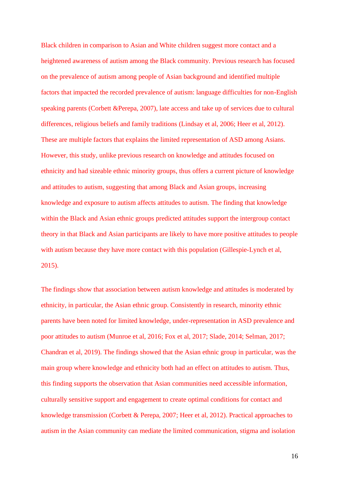Black children in comparison to Asian and White children suggest more contact and a heightened awareness of autism among the Black community. Previous research has focused on the prevalence of autism among people of Asian background and identified multiple factors that impacted the recorded prevalence of autism: language difficulties for non-English speaking parents (Corbett &Perepa, 2007), late access and take up of services due to cultural differences, religious beliefs and family traditions (Lindsay et al, 2006; Heer et al, 2012). These are multiple factors that explains the limited representation of ASD among Asians. However, this study, unlike previous research on knowledge and attitudes focused on ethnicity and had sizeable ethnic minority groups, thus offers a current picture of knowledge and attitudes to autism, suggesting that among Black and Asian groups, increasing knowledge and exposure to autism affects attitudes to autism. The finding that knowledge within the Black and Asian ethnic groups predicted attitudes support the intergroup contact theory in that Black and Asian participants are likely to have more positive attitudes to people with autism because they have more contact with this population (Gillespie-Lynch et al, 2015).

The findings show that association between autism knowledge and attitudes is moderated by ethnicity, in particular, the Asian ethnic group. Consistently in research, minority ethnic parents have been noted for limited knowledge, under-representation in ASD prevalence and poor attitudes to autism (Munroe et al, 2016; Fox et al, 2017; Slade, 2014; Selman, 2017; Chandran et al, 2019). The findings showed that the Asian ethnic group in particular, was the main group where knowledge and ethnicity both had an effect on attitudes to autism. Thus, this finding supports the observation that Asian communities need accessible information, culturally sensitive support and engagement to create optimal conditions for contact and knowledge transmission (Corbett & Perepa, 2007; Heer et al, 2012). Practical approaches to autism in the Asian community can mediate the limited communication, stigma and isolation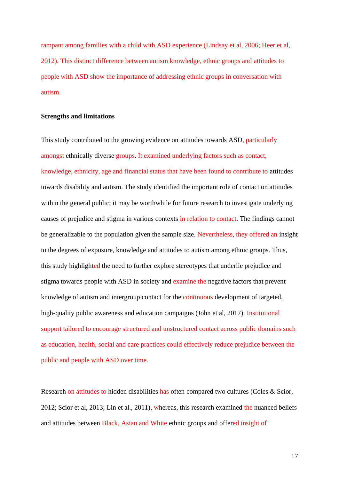rampant among families with a child with ASD experience (Lindsay et al, 2006; Heer et al, 2012). This distinct difference between autism knowledge, ethnic groups and attitudes to people with ASD show the importance of addressing ethnic groups in conversation with autism.

### **Strengths and limitations**

This study contributed to the growing evidence on attitudes towards ASD, particularly amongst ethnically diverse groups. It examined underlying factors such as contact, knowledge, ethnicity, age and financial status that have been found to contribute to attitudes towards disability and autism. The study identified the important role of contact on attitudes within the general public; it may be worthwhile for future research to investigate underlying causes of prejudice and stigma in various contexts in relation to contact. The findings cannot be generalizable to the population given the sample size. Nevertheless, they offered an insight to the degrees of exposure, knowledge and attitudes to autism among ethnic groups. Thus, this study highlighted the need to further explore stereotypes that underlie prejudice and stigma towards people with ASD in society and examine the negative factors that prevent knowledge of autism and intergroup contact for the continuous development of targeted, high-quality public awareness and education campaigns (John et al, 2017). Institutional support tailored to encourage structured and unstructured contact across public domains such as education, health, social and care practices could effectively reduce prejudice between the public and people with ASD over time.

Research on attitudes to hidden disabilities has often compared two cultures (Coles & Scior, 2012; Scior et al, 2013; Lin et al., 2011), whereas, this research examined the nuanced beliefs and attitudes between Black, Asian and White ethnic groups and offered insight of

17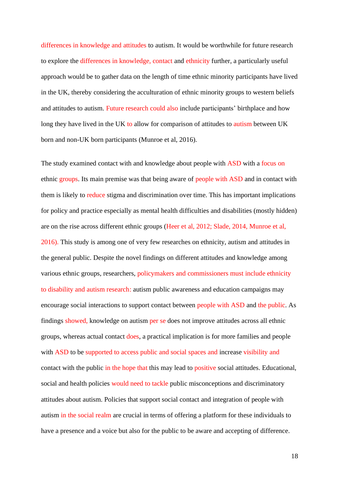differences in knowledge and attitudes to autism. It would be worthwhile for future research to explore the differences in knowledge, contact and ethnicity further, a particularly useful approach would be to gather data on the length of time ethnic minority participants have lived in the UK, thereby considering the acculturation of ethnic minority groups to western beliefs and attitudes to autism. Future research could also include participants' birthplace and how long they have lived in the UK to allow for comparison of attitudes to autism between UK born and non-UK born participants (Munroe et al, 2016).

The study examined contact with and knowledge about people with ASD with a focus on ethnic groups. Its main premise was that being aware of people with ASD and in contact with them is likely to reduce stigma and discrimination over time. This has important implications for policy and practice especially as mental health difficulties and disabilities (mostly hidden) are on the rise across different ethnic groups (Heer et al, 2012; Slade, 2014, Munroe et al, 2016). This study is among one of very few researches on ethnicity, autism and attitudes in the general public. Despite the novel findings on different attitudes and knowledge among various ethnic groups, researchers, policymakers and commissioners must include ethnicity to disability and autism research: autism public awareness and education campaigns may encourage social interactions to support contact between people with ASD and the public. As findings showed, knowledge on autism per se does not improve attitudes across all ethnic groups, whereas actual contact does, a practical implication is for more families and people with ASD to be supported to access public and social spaces and increase visibility and contact with the public in the hope that this may lead to positive social attitudes. Educational, social and health policies would need to tackle public misconceptions and discriminatory attitudes about autism. Policies that support social contact and integration of people with autism in the social realm are crucial in terms of offering a platform for these individuals to have a presence and a voice but also for the public to be aware and accepting of difference.

18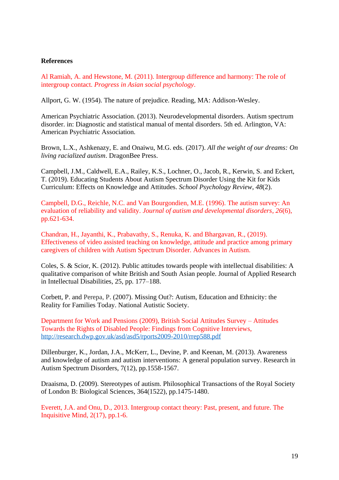## **References**

Al Ramiah, A. and Hewstone, M. (2011). Intergroup difference and harmony: The role of intergroup contact. *Progress in Asian social psychology*.

Allport, G. W. (1954). The nature of prejudice. Reading, MA: Addison-Wesley.

American Psychiatric Association. (2013). Neurodevelopmental disorders. Autism spectrum disorder. in: Diagnostic and statistical manual of mental disorders. 5th ed. Arlington, VA: American Psychiatric Association.

Brown, L.X., Ashkenazy, E. and Onaiwu, M.G. eds. (2017). *All the weight of our dreams: On living racialized autism*. DragonBee Press.

Campbell, J.M., Caldwell, E.A., Railey, K.S., Lochner, O., Jacob, R., Kerwin, S. and Eckert, T. (2019). Educating Students About Autism Spectrum Disorder Using the Kit for Kids Curriculum: Effects on Knowledge and Attitudes. *School Psychology Review*, *48*(2).

Campbell, D.G., Reichle, N.C. and Van Bourgondien, M.E. (1996). The autism survey: An evaluation of reliability and validity. *Journal of autism and developmental disorders*, *26*(6), pp.621-634.

Chandran, H., Jayanthi, K., Prabavathy, S., Renuka, K. and Bhargavan, R., (2019). Effectiveness of video assisted teaching on knowledge, attitude and practice among primary caregivers of children with Autism Spectrum Disorder. Advances in Autism.

Coles, S. & Scior, K. (2012). Public attitudes towards people with intellectual disabilities: A qualitative comparison of white British and South Asian people. Journal of Applied Research in Intellectual Disabilities, 25, pp. 177–188.

Corbett, P. and Perepa, P. (2007). Missing Out?: Autism, Education and Ethnicity: the Reality for Families Today. National Autistic Society.

Department for Work and Pensions (2009), British Social Attitudes Survey – Attitudes Towards the Rights of Disabled People: Findings from Cognitive Interviews, <http://research.dwp.gov.uk/asd/asd5/rports2009-2010/rrep588.pdf>

Dillenburger, K., Jordan, J.A., McKerr, L., Devine, P. and Keenan, M. (2013). Awareness and knowledge of autism and autism interventions: A general population survey. Research in Autism Spectrum Disorders, 7(12), pp.1558-1567.

Draaisma, D. (2009). Stereotypes of autism. Philosophical Transactions of the Royal Society of London B: Biological Sciences, 364(1522), pp.1475-1480.

Everett, J.A. and Onu, D., 2013. Intergroup contact theory: Past, present, and future. The Inquisitive Mind, 2(17), pp.1-6.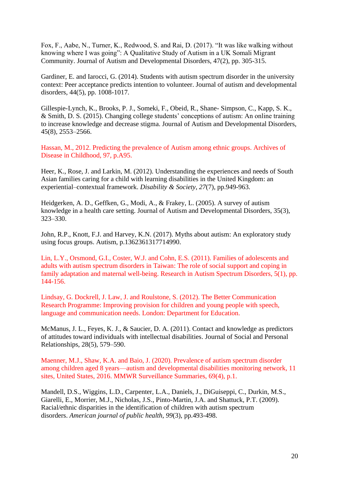Fox, F., Aabe, N., Turner, K., Redwood, S. and Rai, D. (2017). "It was like walking without knowing where I was going": A Qualitative Study of Autism in a UK Somali Migrant Community. Journal of Autism and Developmental Disorders, 47(2), pp. 305-315.

Gardiner, E. and Iarocci, G. (2014). Students with autism spectrum disorder in the university context: Peer acceptance predicts intention to volunteer. Journal of autism and developmental disorders, 44(5), pp. 1008-1017.

Gillespie-Lynch, K., Brooks, P. J., Someki, F., Obeid, R., Shane- Simpson, C., Kapp, S. K., & Smith, D. S. (2015). Changing college students' conceptions of autism: An online training to increase knowledge and decrease stigma. Journal of Autism and Developmental Disorders, 45(8), 2553–2566.

Hassan, M., 2012. Predicting the prevalence of Autism among ethnic groups. Archives of Disease in Childhood, 97, p.A95.

Heer, K., Rose, J. and Larkin, M. (2012). Understanding the experiences and needs of South Asian families caring for a child with learning disabilities in the United Kingdom: an experiential–contextual framework. *Disability & Society*, *27*(7), pp.949-963.

Heidgerken, A. D., Geffken, G., Modi, A., & Frakey, L. (2005). A survey of autism knowledge in a health care setting. Journal of Autism and Developmental Disorders, 35(3), 323–330.

John, R.P., Knott, F.J. and Harvey, K.N. (2017). Myths about autism: An exploratory study using focus groups. Autism, p.1362361317714990.

Lin, L.Y., Orsmond, G.I., Coster, W.J. and Cohn, E.S. (2011). Families of adolescents and adults with autism spectrum disorders in Taiwan: The role of social support and coping in family adaptation and maternal well-being. Research in Autism Spectrum Disorders, 5(1), pp. 144-156.

Lindsay, G. Dockrell, J. Law, J. and Roulstone, S. (2012). The Better Communication Research Programme: Improving provision for children and young people with speech, language and communication needs. London: Department for Education.

McManus, J. L., Feyes, K. J., & Saucier, D. A. (2011). Contact and knowledge as predictors of attitudes toward individuals with intellectual disabilities. Journal of Social and Personal Relationships, 28(5), 579–590.

Maenner, M.J., Shaw, K.A. and Baio, J. (2020). Prevalence of autism spectrum disorder among children aged 8 years—autism and developmental disabilities monitoring network, 11 sites, United States, 2016. MMWR Surveillance Summaries, 69(4), p.1.

Mandell, D.S., Wiggins, L.D., Carpenter, L.A., Daniels, J., DiGuiseppi, C., Durkin, M.S., Giarelli, E., Morrier, M.J., Nicholas, J.S., Pinto-Martin, J.A. and Shattuck, P.T. (2009). Racial/ethnic disparities in the identification of children with autism spectrum disorders. *American journal of public health*, *99*(3), pp.493-498.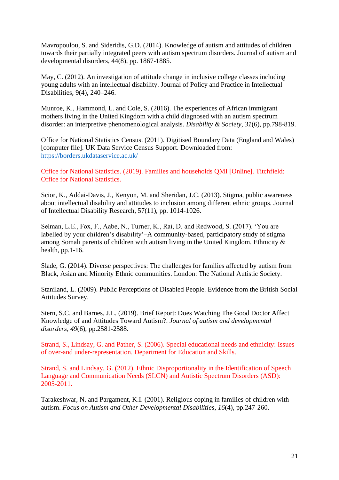Mavropoulou, S. and Sideridis, G.D. (2014). Knowledge of autism and attitudes of children towards their partially integrated peers with autism spectrum disorders. Journal of autism and developmental disorders, 44(8), pp. 1867-1885.

May, C. (2012). An investigation of attitude change in inclusive college classes including young adults with an intellectual disability. Journal of Policy and Practice in Intellectual Disabilities, 9(4), 240–246.

Munroe, K., Hammond, L. and Cole, S. (2016). The experiences of African immigrant mothers living in the United Kingdom with a child diagnosed with an autism spectrum disorder: an interpretive phenomenological analysis. *Disability & Society*, *31*(6), pp.798-819.

Office for National Statistics Census. (2011). Digitised Boundary Data (England and Wales) [computer file]. UK Data Service Census Support. Downloaded from: <https://borders.ukdataservice.ac.uk/>

Office for National Statistics. (2019). Families and households QMI [Online]. Titchfield: Office for National Statistics.

Scior, K., Addai-Davis, J., Kenyon, M. and Sheridan, J.C. (2013). Stigma, public awareness about intellectual disability and attitudes to inclusion among different ethnic groups. Journal of Intellectual Disability Research, 57(11), pp. 1014-1026.

Selman, L.E., Fox, F., Aabe, N., Turner, K., Rai, D. and Redwood, S. (2017). 'You are labelled by your children's disability'–A community-based, participatory study of stigma among Somali parents of children with autism living in the United Kingdom. Ethnicity & health, pp.1-16.

Slade, G. (2014). Diverse perspectives: The challenges for families affected by autism from Black, Asian and Minority Ethnic communities. London: The National Autistic Society.

Staniland, L. (2009). Public Perceptions of Disabled People. Evidence from the British Social Attitudes Survey.

Stern, S.C. and Barnes, J.L. (2019). Brief Report: Does Watching The Good Doctor Affect Knowledge of and Attitudes Toward Autism?. *Journal of autism and developmental disorders*, *49*(6), pp.2581-2588.

Strand, S., Lindsay, G. and Pather, S. (2006). Special educational needs and ethnicity: Issues of over-and under-representation. Department for Education and Skills.

Strand, S. and Lindsay, G. (2012). Ethnic Disproportionality in the Identification of Speech Language and Communication Needs (SLCN) and Autistic Spectrum Disorders (ASD): 2005-2011.

Tarakeshwar, N. and Pargament, K.I. (2001). Religious coping in families of children with autism. *Focus on Autism and Other Developmental Disabilities*, *16*(4), pp.247-260.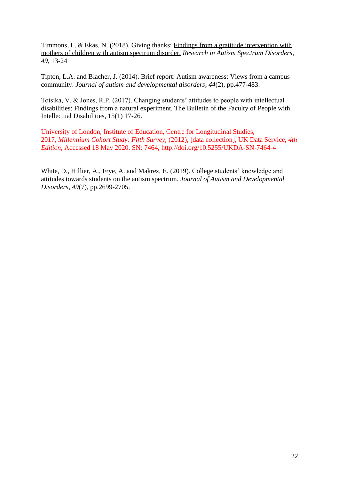Timmons, L. & Ekas, N. (2018). Giving thanks: [Findings from a gratitude intervention with](https://sites.google.com/site/naomiekas/Timmons%20%26%20Ekas%202018-%20Gratitude%20Intervention.pdf?attredirects=0)  [mothers of children with autism spectrum disorder.](https://sites.google.com/site/naomiekas/Timmons%20%26%20Ekas%202018-%20Gratitude%20Intervention.pdf?attredirects=0) *Research in Autism Spectrum Disorders, 49,* 13-24

Tipton, L.A. and Blacher, J. (2014). Brief report: Autism awareness: Views from a campus community. *Journal of autism and developmental disorders*, *44*(2), pp.477-483.

Totsika, V. & Jones, R.P. (2017). Changing students' attitudes to people with intellectual disabilities: Findings from a natural experiment. The Bulletin of the Faculty of People with Intellectual Disabilities, 15(1) 17-26.

University of London, Institute of Education, Centre for Longitudinal Studies, 2017, *Millennium Cohort Study: Fifth Survey,* (2012), [data collection], UK Data Service, *4th Edition,* Accessed 18 May 2020. SN: 7464, <http://doi.org/10.5255/UKDA-SN-7464-4>

White, D., Hillier, A., Frye, A. and Makrez, E. (2019). College students' knowledge and attitudes towards students on the autism spectrum. *Journal of Autism and Developmental Disorders*, *49*(7), pp.2699-2705.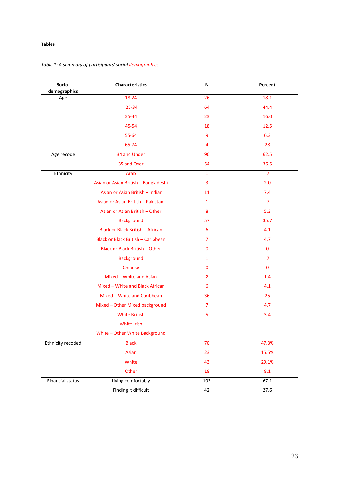### **Tables**

### *Table 1: A summary of participants' social demographics.*

| Socio-<br>demographics  | Characteristics                      | N               | Percent     |
|-------------------------|--------------------------------------|-----------------|-------------|
| Age                     | 18-24                                | 26              | 18.1        |
|                         | 25-34                                | 64              | 44.4        |
|                         | 35-44                                | 23              | 16.0        |
|                         | 45-54                                | 18              | 12.5        |
|                         | 55-64                                | 9               | 6.3         |
|                         | 65-74                                | 4               | 28          |
| Age recode              | 34 and Under                         | 90              | 62.5        |
|                         | 35 and Over                          | 54              | 36.5        |
| Ethnicity               | Arab                                 | $\mathbf{1}$    | .7          |
|                         | Asian or Asian British - Bangladeshi | 3               | 2.0         |
|                         | Asian or Asian British - Indian      | 11              | 7.4         |
|                         | Asian or Asian British - Pakistani   | 1               | .7          |
|                         | Asian or Asian British - Other       | 8               | 5.3         |
|                         | <b>Background</b>                    | 57              | 35.7        |
|                         | Black or Black British - African     | 6               | 4.1         |
|                         | Black or Black British - Caribbean   | 7               | 4.7         |
|                         | Black or Black British - Other       | 0               | $\mathbf 0$ |
|                         | <b>Background</b>                    | 1               | $\cdot$     |
|                         | Chinese                              | 0               | 0           |
|                         | Mixed - White and Asian              | $\overline{2}$  | 1.4         |
|                         | Mixed - White and Black African      | $6\phantom{1}6$ | 4.1         |
|                         | Mixed - White and Caribbean          | 36              | 25          |
|                         | Mixed - Other Mixed background       | 7               | 4.7         |
|                         | <b>White British</b>                 | 5               | 3.4         |
|                         | White Irish                          |                 |             |
|                         | White - Other White Background       |                 |             |
| Ethnicity recoded       | <b>Black</b>                         | 70              | 47.3%       |
|                         | Asian                                | 23              | 15.5%       |
|                         | White                                | 43              | 29.1%       |
|                         | Other                                | 18              | 8.1         |
| <b>Financial status</b> | Living comfortably                   | 102             | 67.1        |
|                         | Finding it difficult                 | 42              | 27.6        |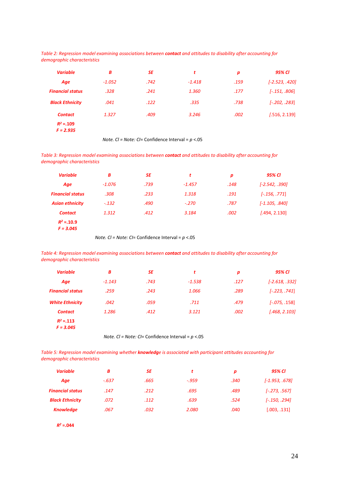*Table 2: Regression model examining associations between contact and attitudes to disability after accounting for demographic characteristics*

| <b>Variable</b>            | B        | <b>SE</b> | t        | p    | 95% CI           |
|----------------------------|----------|-----------|----------|------|------------------|
| Age                        | $-1.052$ | .742      | $-1.418$ | .159 | $[-2.523, .420]$ |
| <b>Financial status</b>    | .328     | .241      | 1.360    | .177 | $[-.151, .806]$  |
| <b>Black Ethnicity</b>     | .041     | .122      | .335     | .738 | $[-.202, .283]$  |
| <b>Contact</b>             | 1.327    | .409      | 3.246    | .002 | [.516, 2.139]    |
| $R^2 = 109$<br>$F = 2.935$ |          |           |          |      |                  |

*Note. Cl = Note: CI*= Confidence Interval = *p* <.05

*Table 3: Regression model examining associations between contact and attitudes to disability after accounting for demographic characteristics*

| <b>Variable</b>         | В        | SE   | t        | p    | 95% CI           |
|-------------------------|----------|------|----------|------|------------------|
| Age                     | $-1.076$ | .739 | $-1.457$ | .148 | $[-2.542, .390]$ |
| <b>Financial status</b> | .308     | .233 | 1.318    | .191 | $[-.156, .771]$  |
| <b>Asian ethnicity</b>  | $-.132$  | .490 | $-.270$  | .787 | $[-1.105, .840]$ |
| <b>Contact</b>          | 1.312    | .412 | 3.184    | .002 | [.494, 2.130]    |
| $R^2 = 0.10.9$          |          |      |          |      |                  |
| $F = 3.045$             |          |      |          |      |                  |

 *Note. Cl = Note: CI*= Confidence Interval = *p* <.05

*Table 4: Regression model examining associations between contact and attitudes to disability after accounting for demographic characteristics*

| <b>Variable</b>         | B        | <b>SE</b> | t        | p    | 95% CI           |
|-------------------------|----------|-----------|----------|------|------------------|
| Age                     | $-1.143$ | .743      | $-1.538$ | .127 | $[-2.618, .332]$ |
| <b>Financial status</b> | .259     | .243      | 1.066    | .289 | $[-.223, .741]$  |
| <b>White Ethnicity</b>  | .042     | .059      | .711     | .479 | $[-.075, .158]$  |
| <b>Contact</b>          | 1.286    | .412      | 3.121    | .002 | [.468, 2.103]    |
| $R^2 = 0.113$           |          |           |          |      |                  |
| $F = 3.045$             |          |           |          |      |                  |

*Note. Cl = Note: CI*= Confidence Interval = *p* <.05

*Table 5: Regression model examining whether knowledge is associated with participant attitudes accounting for demographic characteristics*

| B       | SE   | t       | n    | 95% Cl           |
|---------|------|---------|------|------------------|
| $-.637$ | .665 | $-.959$ | .340 | $[-1.953, .678]$ |
| .147    | .212 | .695    | .489 | $[-.273, .567]$  |
| .072    | .112 | .639    | .524 | $[-.150, .294]$  |
| .067    | .032 | 2.080   | .040 | [.003, .131]     |
|         |      |         |      |                  |

*R<sup>2</sup>* **=.044**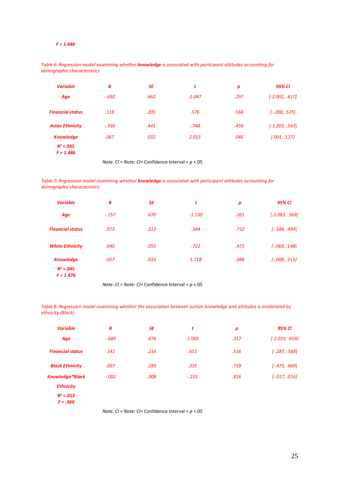#### *F = 1.446*

| iemographic characteristics  |         |           |          |                  |                  |
|------------------------------|---------|-----------|----------|------------------|------------------|
| <b>Variable</b>              | В       | <b>SE</b> | t        | $\boldsymbol{p}$ | 95% CI           |
| Age                          | $-.692$ | .662      | $-1.047$ | .297             | $[-2.002, .617]$ |
| <b>Financial status</b>      | .118    | .205      | .576     | .566             | $[-.288, .525]$  |
| <b>Asian Ethnicity</b>       | $-.330$ | .441      | $-.748$  | .456             | $[-1.203, .543]$ |
| <b>Knowledge</b>             | .067    | .032      | 2.013    | .046             | [.001, .127]     |
| $R^2 = 0.045$<br>$F = 1.486$ |         |           |          |                  |                  |

*Table 6: Regression model examining whether knowledge is associated with participant attitudes accounting for demographic characteristic* 

*Note. Cl = Note: CI*= Confidence Interval = *p* <.05

*Table 7: Regression model examining whether knowledge is associated with participant attitudes accounting for demographic characteristics*

| <b>Variable</b>                                  | В       | SE   | t        | $\boldsymbol{p}$ | 95% CI           |
|--------------------------------------------------|---------|------|----------|------------------|------------------|
| Age                                              | $-.757$ | .670 | $-1.130$ | .261             | $[-2.083, .569]$ |
| <b>Financial status</b>                          | .073    | .213 | .344     | .732             | $[-.348, .494]$  |
| <b>White Ethnicity</b>                           | .040    | .055 | .722     | .472             | $[-.069, .148]$  |
| <b>Knowledge</b><br>$R^2 = 0.045$<br>$F = 1.476$ | .057    | .033 | 1.718    | .088             | $[-.009, .213]$  |

 *Note. Cl = Note: CI*= Confidence Interval = *p* <.05

Table 8: Regression model examining whether the association between autism knowledge and attitudes is moderated by *ethnicity (Black)*

| <b>Variable</b>             | B       | <b>SE</b> | t        | p    | 95% CI           |
|-----------------------------|---------|-----------|----------|------|------------------|
| Age                         | $-.680$ | .676      | $-1.005$ | .317 | $[-2.019, .659]$ |
| <b>Financial status</b>     | .141    | .216      | .651     | .516 | $[-.287, .568]$  |
| <b>Black Ethnicity</b>      | .097    | .289      | .335     | .739 | $[-.475, .669]$  |
| <b>Knowledge*Black</b>      | $-.002$ | .008      | $-.233$  | .816 | $[-.017, .014]$  |
| <b>Ethnicity</b>            |         |           |          |      |                  |
| $R^2 = 0.012$<br>$F = .366$ |         |           |          |      |                  |